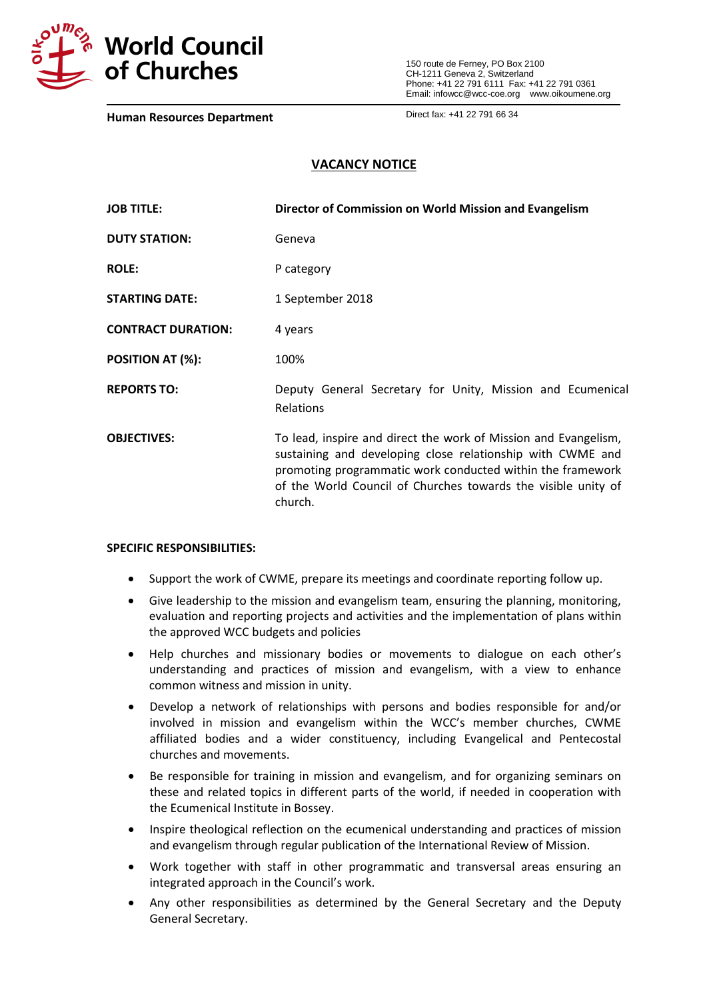

150 route de Ferney, PO Box 2100 CH-1211 Geneva 2, Switzerland Phone: +41 22 791 6111 Fax: +41 22 791 0361 Email: infowcc@wcc-coe.org [www.oikoumene.org](http://www.oikoumene.org/)

**Human Resources Department**

Direct fax: +41 22 791 66 34

# **VACANCY NOTICE**

| <b>JOB TITLE:</b>         | Director of Commission on World Mission and Evangelism                                                                                                                                                                                                                  |
|---------------------------|-------------------------------------------------------------------------------------------------------------------------------------------------------------------------------------------------------------------------------------------------------------------------|
| <b>DUTY STATION:</b>      | Geneva                                                                                                                                                                                                                                                                  |
| <b>ROLE:</b>              | P category                                                                                                                                                                                                                                                              |
| <b>STARTING DATE:</b>     | 1 September 2018                                                                                                                                                                                                                                                        |
| <b>CONTRACT DURATION:</b> | 4 years                                                                                                                                                                                                                                                                 |
| POSITION AT (%):          | 100%                                                                                                                                                                                                                                                                    |
| <b>REPORTS TO:</b>        | Deputy General Secretary for Unity, Mission and Ecumenical<br>Relations                                                                                                                                                                                                 |
| <b>OBJECTIVES:</b>        | To lead, inspire and direct the work of Mission and Evangelism,<br>sustaining and developing close relationship with CWME and<br>promoting programmatic work conducted within the framework<br>of the World Council of Churches towards the visible unity of<br>church. |

### **SPECIFIC RESPONSIBILITIES:**

- Support the work of CWME, prepare its meetings and coordinate reporting follow up.
- Give leadership to the mission and evangelism team, ensuring the planning, monitoring, evaluation and reporting projects and activities and the implementation of plans within the approved WCC budgets and policies
- Help churches and missionary bodies or movements to dialogue on each other's understanding and practices of mission and evangelism, with a view to enhance common witness and mission in unity.
- Develop a network of relationships with persons and bodies responsible for and/or involved in mission and evangelism within the WCC's member churches, CWME affiliated bodies and a wider constituency, including Evangelical and Pentecostal churches and movements.
- Be responsible for training in mission and evangelism, and for organizing seminars on these and related topics in different parts of the world, if needed in cooperation with the Ecumenical Institute in Bossey.
- Inspire theological reflection on the ecumenical understanding and practices of mission and evangelism through regular publication of the International Review of Mission.
- Work together with staff in other programmatic and transversal areas ensuring an integrated approach in the Council's work.
- Any other responsibilities as determined by the General Secretary and the Deputy General Secretary.